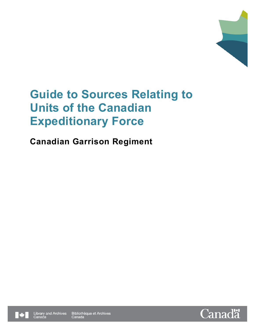

# **Canadian Garrison Regiment**



Bibliothèque et Archives Canada

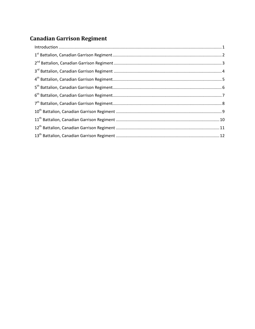# **Canadian Garrison Regiment**

| $\label{eq:1} \mbox{Introduction} \,\, \ldots \,\, \ldots \,\, \ldots \,\, \ldots \,\, \ldots \,\, \ldots \,\, \ldots \,\, \ldots \,\, \ldots \,\, \ldots \,\, \ldots \,\, \ldots \,\, \ldots \,\, \ldots \,\, \ldots \,\, \ldots \,\, \ldots \,\, \ldots \,\, \ldots \,\, \ldots \,\, \ldots \,\, \ldots \,\, \ldots \,\, \ldots \,\, \ldots \,\, \ldots \,\, \ldots \,\, \ldots \,\, \ldots \,\, \ldots \,\, \ldots \,\, \ldots \,\, \ldots \,\, \ldots \,\,$ |  |
|-----------------------------------------------------------------------------------------------------------------------------------------------------------------------------------------------------------------------------------------------------------------------------------------------------------------------------------------------------------------------------------------------------------------------------------------------------------------|--|
|                                                                                                                                                                                                                                                                                                                                                                                                                                                                 |  |
|                                                                                                                                                                                                                                                                                                                                                                                                                                                                 |  |
|                                                                                                                                                                                                                                                                                                                                                                                                                                                                 |  |
|                                                                                                                                                                                                                                                                                                                                                                                                                                                                 |  |
|                                                                                                                                                                                                                                                                                                                                                                                                                                                                 |  |
|                                                                                                                                                                                                                                                                                                                                                                                                                                                                 |  |
|                                                                                                                                                                                                                                                                                                                                                                                                                                                                 |  |
|                                                                                                                                                                                                                                                                                                                                                                                                                                                                 |  |
|                                                                                                                                                                                                                                                                                                                                                                                                                                                                 |  |
|                                                                                                                                                                                                                                                                                                                                                                                                                                                                 |  |
|                                                                                                                                                                                                                                                                                                                                                                                                                                                                 |  |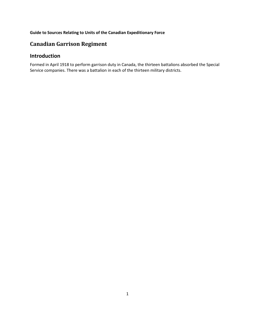# **Canadian Garrison Regiment**

# <span id="page-2-0"></span>**Introduction**

Formed in April 1918 to perform garrison duty in Canada, the thirteen battalions absorbed the Special Service companies. There was a battalion in each of the thirteen military districts.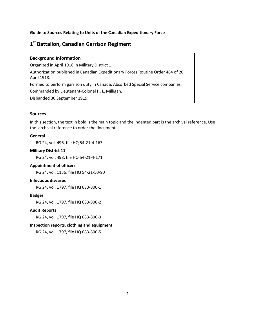# <span id="page-3-0"></span>**1st Battalion, Canadian Garrison Regiment**

# **Background Information**

Organized in April 1918 in Military District 1. Authorization published in Canadian Expeditionary Forces Routine Order 464 of 20 April 1918. Formed to perform garrison duty in Canada. Absorbed Special Service companies. Commanded by Lieutenant-Colonel H. L. Milligan. Disbanded 30 September 1919.

#### **Sources**

In this section, the text in bold is the main topic and the indented part is the archival reference. Use the archival reference to order the document.

# **General**

RG 24, vol. 496, file HQ 54-21-4-163

# **Military District 11**

RG 24, vol. 498, file HQ 54-21-4-171

### **Appointment of officers**

RG 24, vol. 1136, file HQ 54-21-50-90

# **Infectious diseases**

RG 24, vol. 1797, file HQ 683-800-1

# **Badges**

RG 24, vol. 1797, file HQ 683-800-2

# **Audit Reports**

RG 24, vol. 1797, file HQ 683-800-3

# **Inspection reports, clothing and equipment**

RG 24, vol. 1797, file HQ 683-800-5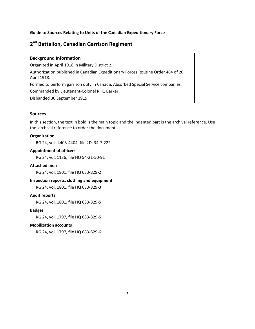# <span id="page-4-0"></span>**2nd Battalion, Canadian Garrison Regiment**

#### **Background Information**

Organized in April 1918 in Military District 2. Authorization published in Canadian Expeditionary Forces Routine Order 464 of 20 April 1918. Formed to perform garrison duty in Canada. Absorbed Special Service companies. Commanded by Lieutenant-Colonel R. K. Barker. Disbanded 30 September 1919.

#### **Sources**

In this section, the text in bold is the main topic and the indented part is the archival reference. Use the archival reference to order the document.

# **Organization**

RG 24, vols.4403-4404, file 2D. 34-7-222

# **Appointment of officers**

RG 24, vol. 1136, file HQ 54-21-50-91

#### **Attached men**

RG 24, vol. 1801, file HQ 683-829-2

#### **Inspection reports, clothing and equipment**

RG 24, vol. 1801, file HQ 683-829-3

#### **Audit reports**

RG 24, vol. 1801, file HQ 683-829-5

#### **Badges**

RG 24, vol. 1797, file HQ 683-829-5

#### **Mobilization accounts**

RG 24, vol. 1797, file HQ 683-829-6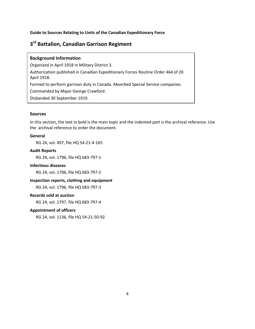# <span id="page-5-0"></span>**3rd Battalion, Canadian Garrison Regiment**

# **Background Information**

Organized in April 1918 in Military District 3. Authorization published in Canadian Expeditionary Forces Routine Order 464 of 20 April 1918. Formed to perform garrison duty in Canada. Absorbed Special Service companies. Commanded by Major George Crawford. Disbanded 30 September 1919.

### **Sources**

In this section, the text in bold is the main topic and the indented part is the archival reference. Use the archival reference to order the document.

# **General**

RG 24, vol. 497, file HQ 54-21-4-165

# **Audit Reports**

RG 24, vol. 1796, file HQ 683-797-1

### **Infectious diseases**

RG 24, vol. 1796, file HQ 683-797-2

# **Inspection reports, clothing and equipment**

RG 24, vol. 1796, file HQ 683-797-3

# **Records sold at auction**

RG 24, vol. 1797, file HQ 683-797-4

# **Appointment of officers**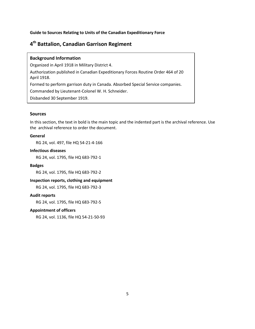# <span id="page-6-0"></span>**4th Battalion, Canadian Garrison Regiment**

### **Background Information**

Organized in April 1918 in Military District 4. Authorization published in Canadian Expeditionary Forces Routine Order 464 of 20 April 1918. Formed to perform garrison duty in Canada. Absorbed Special Service companies. Commanded by Lieutenant-Colonel W. H. Schneider. Disbanded 30 September 1919.

### **Sources**

In this section, the text in bold is the main topic and the indented part is the archival reference. Use the archival reference to order the document.

# **General**

RG 24, vol. 497, file HQ 54-21-4-166

# **Infectious diseases**

RG 24, vol. 1795, file HQ 683-792-1

#### **Badges**

RG 24, vol. 1795, file HQ 683-792-2

# **Inspection reports, clothing and equipment**

RG 24, vol. 1795, file HQ 683-792-3

#### **Audit reports**

RG 24, vol. 1795, file HQ 683-792-5

# **Appointment of officers**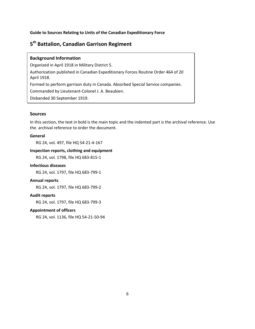# <span id="page-7-0"></span>**5th Battalion, Canadian Garrison Regiment**

# **Background Information**

Organized in April 1918 in Military District 5. Authorization published in Canadian Expeditionary Forces Routine Order 464 of 20 April 1918. Formed to perform garrison duty in Canada. Absorbed Special Service companies. Commanded by Lieutenant-Colonel J. A. Beaubien. Disbanded 30 September 1919.

### **Sources**

In this section, the text in bold is the main topic and the indented part is the archival reference. Use the archival reference to order the document.

# **General**

RG 24, vol. 497, file HQ 54-21-4-167

# **Inspection reports, clothing and equipment**

RG 24, vol. 1798, file HQ 683-815-1

#### **Infectious diseases**

RG 24, vol. 1797, file HQ 683-799-1

#### **Annual reports**

RG 24, vol. 1797, file HQ 683-799-2

# **Audit reports**

RG 24, vol. 1797, file HQ 683-799-3

# **Appointment of officers**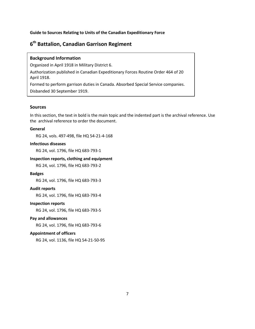# <span id="page-8-0"></span>**6th Battalion, Canadian Garrison Regiment**

#### **Background Information**

Organized in April 1918 in Military District 6.

Authorization published in Canadian Expeditionary Forces Routine Order 464 of 20 April 1918.

Formed to perform garrison duties in Canada. Absorbed Special Service companies. Disbanded 30 September 1919.

#### **Sources**

In this section, the text in bold is the main topic and the indented part is the archival reference. Use the archival reference to order the document.

# **General**

RG 24, vols. 497-498, file HQ 54-21-4-168

# **Infectious diseases**

RG 24, vol. 1796, file HQ 683-793-1

# **Inspection reports, clothing and equipment**

RG 24, vol. 1796, file HQ 683-793-2

# **Badges**

RG 24, vol. 1796, file HQ 683-793-3

#### **Audit reports**

RG 24, vol. 1796, file HQ 683-793-4

# **Inspection reports**

RG 24, vol. 1796, file HQ 683-793-5

#### **Pay and allowances**

RG 24, vol. 1796, file HQ 683-793-6

#### **Appointment of officers**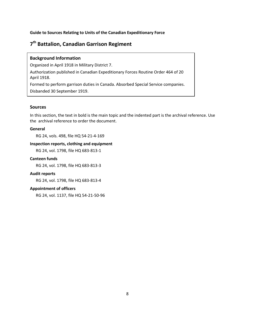# <span id="page-9-0"></span>**7th Battalion, Canadian Garrison Regiment**

# **Background Information**

Organized in April 1918 in Military District 7.

Authorization published in Canadian Expeditionary Forces Routine Order 464 of 20 April 1918.

Formed to perform garrison duties in Canada. Absorbed Special Service companies. Disbanded 30 September 1919.

# **Sources**

In this section, the text in bold is the main topic and the indented part is the archival reference. Use the archival reference to order the document.

# **General**

RG 24, vols. 498, file HQ 54-21-4-169

# **Inspection reports, clothing and equipment**

RG 24, vol. 1798, file HQ 683-813-1

#### **Canteen funds**

RG 24, vol. 1798, file HQ 683-813-3

#### **Audit reports**

RG 24, vol. 1798, file HQ 683-813-4

# **Appointment of officers**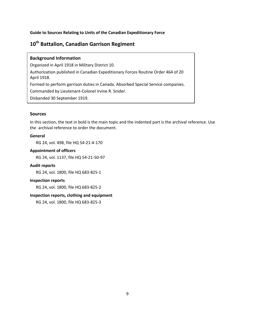# <span id="page-10-0"></span>**10th Battalion, Canadian Garrison Regiment**

# **Background Information**

Organized in April 1918 in Military District 10. Authorization published in Canadian Expeditionary Forces Routine Order 464 of 20 April 1918. Formed to perform garrison duties in Canada. Absorbed Special Service companies. Commanded by Lieutenant-Colonel Irvine R. Snider. Disbanded 30 September 1919.

### **Sources**

In this section, the text in bold is the main topic and the indented part is the archival reference. Use the archival reference to order the document.

# **General**

RG 24, vol. 498, file HQ 54-21-4-170

# **Appointment of officers**

RG 24, vol. 1137, file HQ 54-21-50-97

#### **Audit reports**

RG 24, vol. 1800, file HQ 683-825-1

#### **Inspection reports**

RG 24, vol. 1800, file HQ 683-825-2

# **Inspection reports, clothing and equipment**

RG 24, vol. 1800, file HQ 683-825-3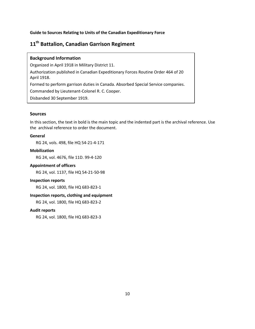# <span id="page-11-0"></span>**11th Battalion, Canadian Garrison Regiment**

# **Background Information**

Organized in April 1918 in Military District 11. Authorization published in Canadian Expeditionary Forces Routine Order 464 of 20 April 1918. Formed to perform garrison duties in Canada. Absorbed Special Service companies. Commanded by Lieutenant-Colonel R. C. Cooper. Disbanded 30 September 1919.

### **Sources**

In this section, the text in bold is the main topic and the indented part is the archival reference. Use the archival reference to order the document.

# **General**

RG 24, vols. 498, file HQ 54-21-4-171

# **Mobilization**

RG 24, vol. 4676, file 11D. 99-4-120

### **Appointment of officers**

RG 24, vol. 1137, file HQ 54-21-50-98

#### **Inspection reports**

RG 24, vol. 1800, file HQ 683-823-1

# **Inspection reports, clothing and equipment**

RG 24, vol. 1800, file HQ 683-823-2

# **Audit reports**

RG 24, vol. 1800, file HQ 683-823-3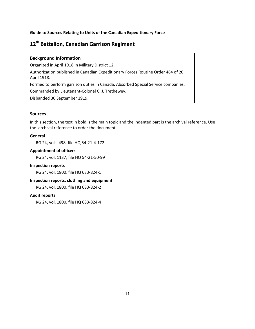# <span id="page-12-0"></span>**12th Battalion, Canadian Garrison Regiment**

# **Background Information**

Organized in April 1918 in Military District 12. Authorization published in Canadian Expeditionary Forces Routine Order 464 of 20 April 1918. Formed to perform garrison duties in Canada. Absorbed Special Service companies. Commanded by Lieutenant-Colonel C. J. Trethewey. Disbanded 30 September 1919.

### **Sources**

In this section, the text in bold is the main topic and the indented part is the archival reference. Use the archival reference to order the document.

# **General**

RG 24, vols. 498, file HQ 54-21-4-172

# **Appointment of officers**

RG 24, vol. 1137, file HQ 54-21-50-99

### **Inspection reports**

RG 24, vol. 1800, file HQ 683-824-1

# **Inspection reports, clothing and equipment**

RG 24, vol. 1800, file HQ 683-824-2

#### **Audit reports**

RG 24, vol. 1800, file HQ 683-824-4